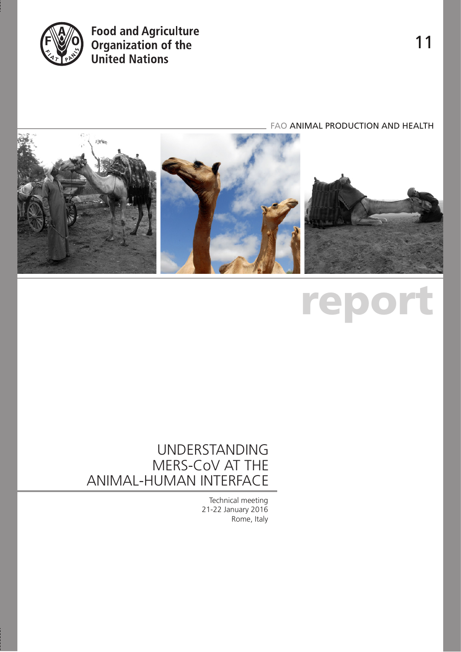

# **Food and Agriculture<br>Organization of the<br>United Nations**

FAO ANIMAL PRODUCTION AND HEALTH



# report

# UNDERSTANDING MERS-CoV AT THE ANIMAL-HUMAN INTERFACE

Technical meeting 21-22 January 2016 Rome, Italy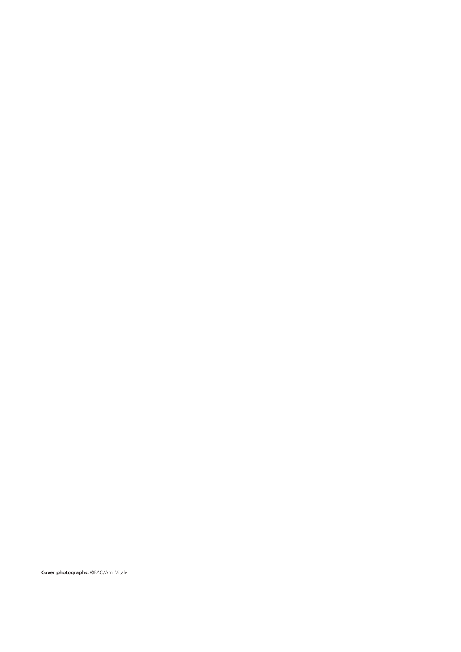**Cover photographs:** ©FAO/Ami Vitale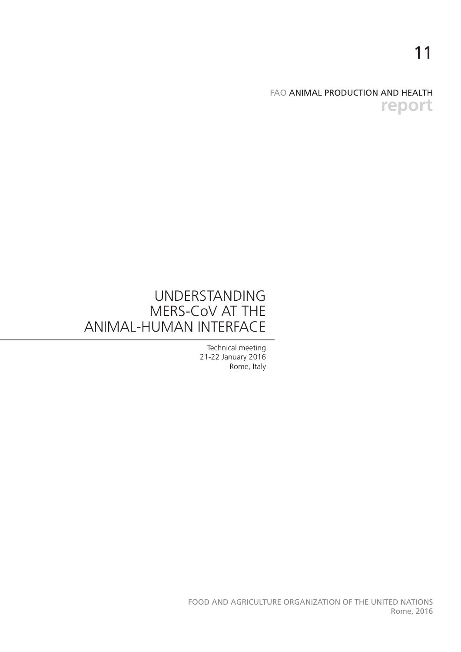11

# FAO ANIMAL PRODUCTION AND HEALTH **report**

# UNDERSTANDING MERS-CoV AT THE ANIMAL-HUMAN INTERFACE

Technical meeting 21-22 January 2016 Rome, Italy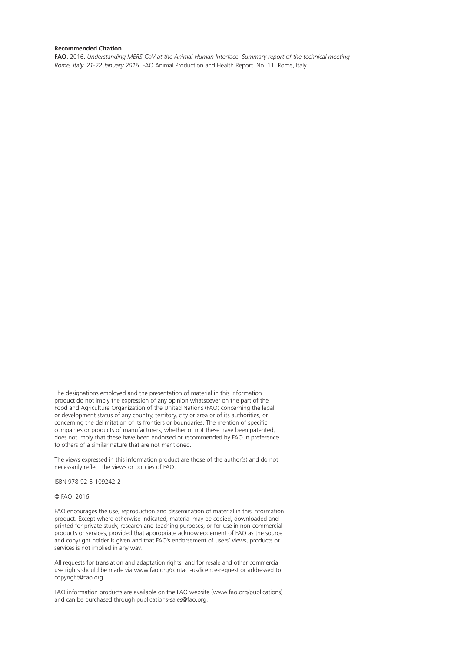#### **Recommended Citation**

**FAO**. 2016. *Understanding MERS-CoV at the Animal-Human Interface. Summary report of the technical meeting – Rome, Italy. 21-22 January 2016.* FAO Animal Production and Health Report. No. 11. Rome, Italy.

The designations employed and the presentation of material in this information product do not imply the expression of any opinion whatsoever on the part of the Food and Agriculture Organization of the United Nations (FAO) concerning the legal or development status of any country, territory, city or area or of its authorities, or concerning the delimitation of its frontiers or boundaries. The mention of specific companies or products of manufacturers, whether or not these have been patented, does not imply that these have been endorsed or recommended by FAO in preference to others of a similar nature that are not mentioned.

The views expressed in this information product are those of the author(s) and do not necessarily reflect the views or policies of FAO.

ISBN 978-92-5-109242-2

© FAO, 2016

FAO encourages the use, reproduction and dissemination of material in this information product. Except where otherwise indicated, material may be copied, downloaded and printed for private study, research and teaching purposes, or for use in non-commercial products or services, provided that appropriate acknowledgement of FAO as the source and copyright holder is given and that FAO's endorsement of users' views, products or services is not implied in any way.

All requests for translation and adaptation rights, and for resale and other commercial use rights should be made via www.fao.org/contact-us/licence-request or addressed to copyright@fao.org.

FAO information products are available on the FAO website (www.fao.org/publications) and can be purchased through publications-sales@fao.org.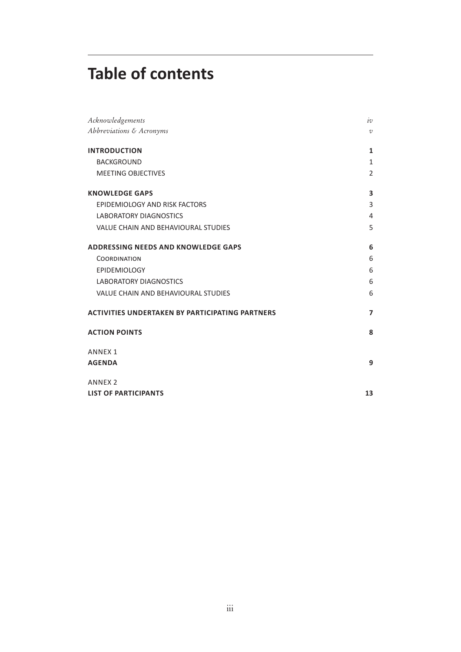# **Table of contents**

| Acknowledgements                                       | iv             |
|--------------------------------------------------------|----------------|
| Abbreviations & Acronyms                               | $\cal{U}$      |
| <b>INTRODUCTION</b>                                    | 1              |
| <b>BACKGROUND</b>                                      | $\mathbf{1}$   |
| <b>MEETING OBJECTIVES</b>                              | 2              |
| <b>KNOWLEDGE GAPS</b>                                  | 3              |
| EPIDEMIOLOGY AND RISK FACTORS                          | 3              |
| <b>LABORATORY DIAGNOSTICS</b>                          | $\overline{4}$ |
| VALUE CHAIN AND BEHAVIOURAL STUDIES                    | 5              |
| <b>ADDRESSING NEEDS AND KNOWLEDGE GAPS</b>             | 6              |
| <b>COORDINATION</b>                                    | 6              |
| EPIDEMIOLOGY                                           | 6              |
| <b>LABORATORY DIAGNOSTICS</b>                          | 6              |
| <b>VALUE CHAIN AND BEHAVIOURAL STUDIES</b>             | 6              |
| <b>ACTIVITIES UNDERTAKEN BY PARTICIPATING PARTNERS</b> | $\overline{7}$ |
| <b>ACTION POINTS</b>                                   | 8              |
| <b>ANNEX1</b>                                          |                |
| <b>AGENDA</b>                                          | 9              |
| <b>ANNEX 2</b>                                         |                |
| <b>LIST OF PARTICIPANTS</b>                            | 13             |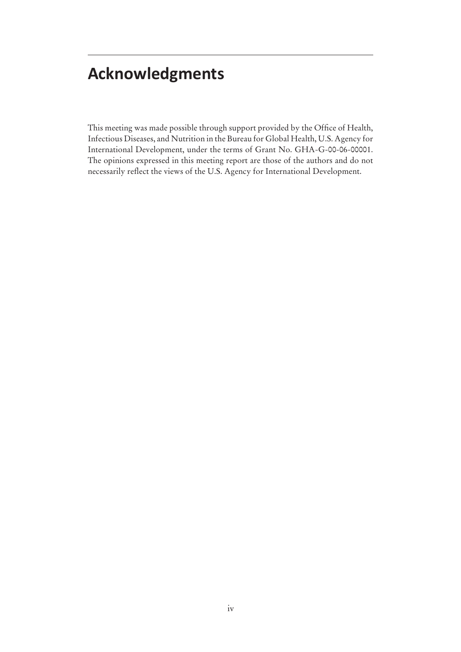# **Acknowledgments**

This meeting was made possible through support provided by the Office of Health, Infectious Diseases, and Nutrition in the Bureau for Global Health, U.S. Agency for International Development, under the terms of Grant No. GHA-G-00-06-00001. The opinions expressed in this meeting report are those of the authors and do not necessarily reflect the views of the U.S. Agency for International Development.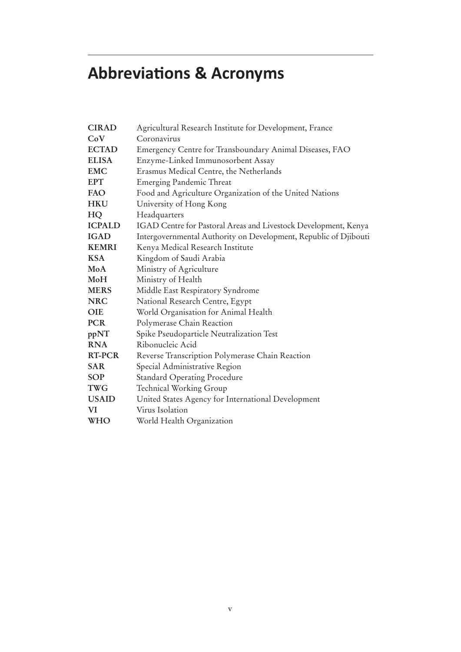# **Abbreviations & Acronyms**

| <b>CIRAD</b>  | Agricultural Research Institute for Development, France          |
|---------------|------------------------------------------------------------------|
| CoV           | Coronavirus                                                      |
| <b>ECTAD</b>  | Emergency Centre for Transboundary Animal Diseases, FAO          |
| <b>ELISA</b>  | Enzyme-Linked Immunosorbent Assay                                |
| <b>EMC</b>    | Erasmus Medical Centre, the Netherlands                          |
| <b>EPT</b>    | <b>Emerging Pandemic Threat</b>                                  |
| <b>FAO</b>    | Food and Agriculture Organization of the United Nations          |
| <b>HKU</b>    | University of Hong Kong                                          |
| HQ            | Headquarters                                                     |
| <b>ICPALD</b> | IGAD Centre for Pastoral Areas and Livestock Development, Kenya  |
| <b>IGAD</b>   | Intergovernmental Authority on Development, Republic of Djibouti |
| <b>KEMRI</b>  | Kenya Medical Research Institute                                 |
| <b>KSA</b>    | Kingdom of Saudi Arabia                                          |
| MoA           | Ministry of Agriculture                                          |
| MoH           | Ministry of Health                                               |
| <b>MERS</b>   | Middle East Respiratory Syndrome                                 |
| <b>NRC</b>    | National Research Centre, Egypt                                  |
| <b>OIE</b>    | World Organisation for Animal Health                             |
| <b>PCR</b>    | Polymerase Chain Reaction                                        |
| ppNT          | Spike Pseudoparticle Neutralization Test                         |
| <b>RNA</b>    | Ribonucleic Acid                                                 |
| <b>RT-PCR</b> | Reverse Transcription Polymerase Chain Reaction                  |
| <b>SAR</b>    | Special Administrative Region                                    |
| <b>SOP</b>    | <b>Standard Operating Procedure</b>                              |
| <b>TWG</b>    | <b>Technical Working Group</b>                                   |
| <b>USAID</b>  | United States Agency for International Development               |
| VI            | Virus Isolation                                                  |
| <b>WHO</b>    | World Health Organization                                        |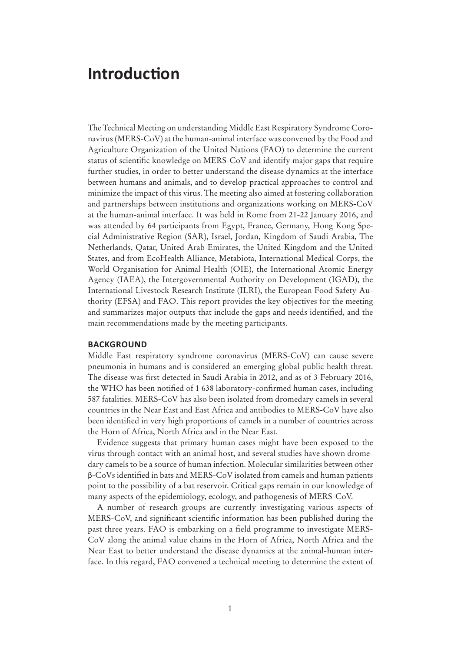# **Introduction**

The Technical Meeting on understanding Middle East Respiratory Syndrome Coronavirus (MERS-CoV) at the human-animal interface was convened by the Food and Agriculture Organization of the United Nations (FAO) to determine the current status of scientific knowledge on MERS-CoV and identify major gaps that require further studies, in order to better understand the disease dynamics at the interface between humans and animals, and to develop practical approaches to control and minimize the impact of this virus. The meeting also aimed at fostering collaboration and partnerships between institutions and organizations working on MERS-CoV at the human-animal interface. It was held in Rome from 21-22 January 2016, and was attended by 64 participants from Egypt, France, Germany, Hong Kong Special Administrative Region (SAR), Israel, Jordan, Kingdom of Saudi Arabia, The Netherlands, Qatar, United Arab Emirates, the United Kingdom and the United States, and from EcoHealth Alliance, Metabiota, International Medical Corps, the World Organisation for Animal Health (OIE), the International Atomic Energy Agency (IAEA), the Intergovernmental Authority on Development (IGAD), the International Livestock Research Institute (ILRI), the European Food Safety Authority (EFSA) and FAO. This report provides the key objectives for the meeting and summarizes major outputs that include the gaps and needs identified, and the main recommendations made by the meeting participants.

#### **BACKGROUND**

Middle East respiratory syndrome coronavirus (MERS-CoV) can cause severe pneumonia in humans and is considered an emerging global public health threat. The disease was first detected in Saudi Arabia in 2012, and as of 3 February 2016, the WHO has been notified of 1 638 laboratory-confirmed human cases, including 587 fatalities. MERS-CoV has also been isolated from dromedary camels in several countries in the Near East and East Africa and antibodies to MERS-CoV have also been identied in very high proportions of camels in a number of countries across the Horn of Africa, North Africa and in the Near East.

Evidence suggests that primary human cases might have been exposed to the virus through contact with an animal host, and several studies have shown dromedary camels to be a source of human infection. Molecular similarities between other β-CoVs identied in bats and MERS-CoV isolated from camels and human patients point to the possibility of a bat reservoir. Critical gaps remain in our knowledge of many aspects of the epidemiology, ecology, and pathogenesis of MERS-CoV.

A number of research groups are currently investigating various aspects of MERS-CoV, and significant scientific information has been published during the past three years. FAO is embarking on a field programme to investigate MERS-CoV along the animal value chains in the Horn of Africa, North Africa and the Near East to better understand the disease dynamics at the animal-human interface. In this regard, FAO convened a technical meeting to determine the extent of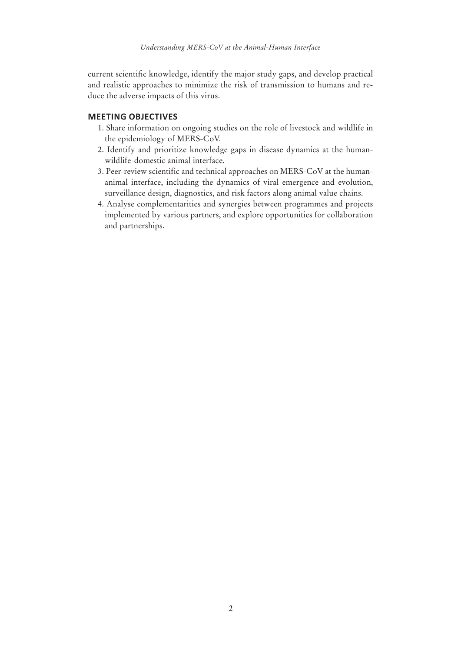current scientific knowledge, identify the major study gaps, and develop practical and realistic approaches to minimize the risk of transmission to humans and reduce the adverse impacts of this virus.

## **MEETING OBJECTIVES**

- 1. Share information on ongoing studies on the role of livestock and wildlife in the epidemiology of MERS-CoV.
- 2. Identify and prioritize knowledge gaps in disease dynamics at the humanwildlife-domestic animal interface.
- 3. Peer-review scientific and technical approaches on MERS-CoV at the humananimal interface, including the dynamics of viral emergence and evolution, surveillance design, diagnostics, and risk factors along animal value chains.
- 4. Analyse complementarities and synergies between programmes and projects implemented by various partners, and explore opportunities for collaboration and partnerships.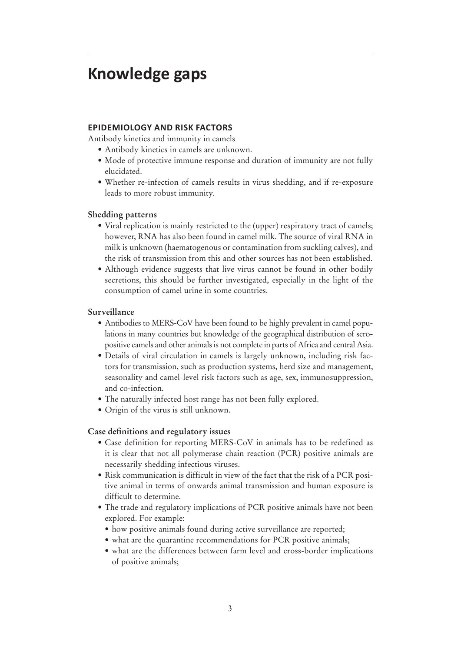# **Knowledge gaps**

### **EPIDEMIOLOGY AND RISK FACTORS**

Antibody kinetics and immunity in camels

- Antibody kinetics in camels are unknown.
- Mode of protective immune response and duration of immunity are not fully elucidated.
- Whether re-infection of camels results in virus shedding, and if re-exposure leads to more robust immunity.

#### **Shedding patterns**

- Viral replication is mainly restricted to the (upper) respiratory tract of camels; however, RNA has also been found in camel milk. The source of viral RNA in milk is unknown (haematogenous or contamination from suckling calves), and the risk of transmission from this and other sources has not been established.
- Although evidence suggests that live virus cannot be found in other bodily secretions, this should be further investigated, especially in the light of the consumption of camel urine in some countries.

#### **Surveillance**

- Antibodies to MERS-CoV have been found to be highly prevalent in camel populations in many countries but knowledge of the geographical distribution of seropositive camels and other animals is not complete in parts of Africa and central Asia.
- Details of viral circulation in camels is largely unknown, including risk factors for transmission, such as production systems, herd size and management, seasonality and camel-level risk factors such as age, sex, immunosuppression, and co-infection.
- The naturally infected host range has not been fully explored.
- Origin of the virus is still unknown.

#### **Case definitions and regulatory issues**

- Case definition for reporting MERS-CoV in animals has to be redefined as it is clear that not all polymerase chain reaction (PCR) positive animals are necessarily shedding infectious viruses.
- Risk communication is difficult in view of the fact that the risk of a PCR positive animal in terms of onwards animal transmission and human exposure is difficult to determine.
- The trade and regulatory implications of PCR positive animals have not been explored. For example:
	- how positive animals found during active surveillance are reported;
	- what are the quarantine recommendations for PCR positive animals;
	- what are the differences between farm level and cross-border implications of positive animals;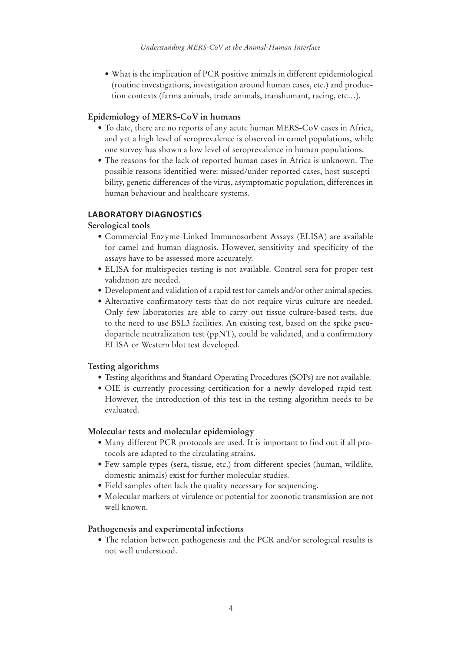• What is the implication of PCR positive animals in different epidemiological (routine investigations, investigation around human cases, etc.) and production contexts (farms animals, trade animals, transhumant, racing, etc…).

#### **Epidemiology of MERS-CoV in humans**

- To date, there are no reports of any acute human MERS-CoV cases in Africa, and yet a high level of seroprevalence is observed in camel populations, while one survey has shown a low level of seroprevalence in human populations.
- The reasons for the lack of reported human cases in Africa is unknown. The possible reasons identified were: missed/under-reported cases, host susceptibility, genetic differences of the virus, asymptomatic population, differences in human behaviour and healthcare systems.

## **LABORATORY DIAGNOSTICS**

### **Serological tools**

- Commercial Enzyme-Linked Immunosorbent Assays (ELISA) are available for camel and human diagnosis. However, sensitivity and specificity of the assays have to be assessed more accurately.
- ELISA for multispecies testing is not available. Control sera for proper test validation are needed.
- Development and validation of a rapid test for camels and/or other animal species.
- Alternative confirmatory tests that do not require virus culture are needed. Only few laboratories are able to carry out tissue culture-based tests, due to the need to use BSL3 facilities. An existing test, based on the spike pseudoparticle neutralization test (ppNT), could be validated, and a confirmatory ELISA or Western blot test developed.

## **Testing algorithms**

- Testing algorithms and Standard Operating Procedures (SOPs) are not available.
- OIE is currently processing certification for a newly developed rapid test. However, the introduction of this test in the testing algorithm needs to be evaluated.

#### **Molecular tests and molecular epidemiology**

- Many different PCR protocols are used. It is important to find out if all protocols are adapted to the circulating strains.
- Few sample types (sera, tissue, etc.) from different species (human, wildlife, domestic animals) exist for further molecular studies.
- Field samples often lack the quality necessary for sequencing.
- Molecular markers of virulence or potential for zoonotic transmission are not well known.

#### **Pathogenesis and experimental infections**

• The relation between pathogenesis and the PCR and/or serological results is not well understood.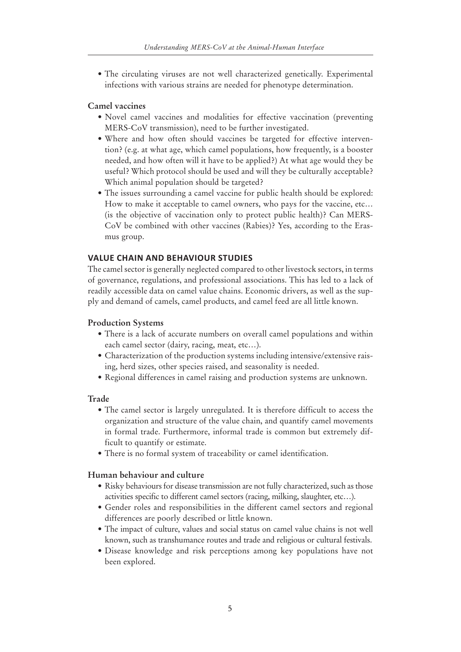• The circulating viruses are not well characterized genetically. Experimental infections with various strains are needed for phenotype determination.

#### **Camel vaccines**

- Novel camel vaccines and modalities for effective vaccination (preventing MERS-CoV transmission), need to be further investigated.
- Where and how often should vaccines be targeted for effective intervention? (e.g. at what age, which camel populations, how frequently, is a booster needed, and how often will it have to be applied?) At what age would they be useful? Which protocol should be used and will they be culturally acceptable? Which animal population should be targeted?
- The issues surrounding a camel vaccine for public health should be explored: How to make it acceptable to camel owners, who pays for the vaccine, etc… (is the objective of vaccination only to protect public health)? Can MERS-CoV be combined with other vaccines (Rabies)? Yes, according to the Erasmus group.

#### **VALUE CHAIN AND BEHAVIOUR STUDIES**

The camel sector is generally neglected compared to other livestock sectors, in terms of governance, regulations, and professional associations. This has led to a lack of readily accessible data on camel value chains. Economic drivers, as well as the supply and demand of camels, camel products, and camel feed are all little known.

#### **Production Systems**

- There is a lack of accurate numbers on overall camel populations and within each camel sector (dairy, racing, meat, etc…).
- Characterization of the production systems including intensive/extensive raising, herd sizes, other species raised, and seasonality is needed.
- Regional differences in camel raising and production systems are unknown.

#### **Trade**

- The camel sector is largely unregulated. It is therefore difficult to access the organization and structure of the value chain, and quantify camel movements in formal trade. Furthermore, informal trade is common but extremely difficult to quantify or estimate.
- There is no formal system of traceability or camel identification.

### **Human behaviour and culture**

- Risky behaviours for disease transmission are not fully characterized, such as those activities specific to different camel sectors (racing, milking, slaughter, etc…).
- Gender roles and responsibilities in the different camel sectors and regional differences are poorly described or little known.
- The impact of culture, values and social status on camel value chains is not well known, such as transhumance routes and trade and religious or cultural festivals.
- Disease knowledge and risk perceptions among key populations have not been explored.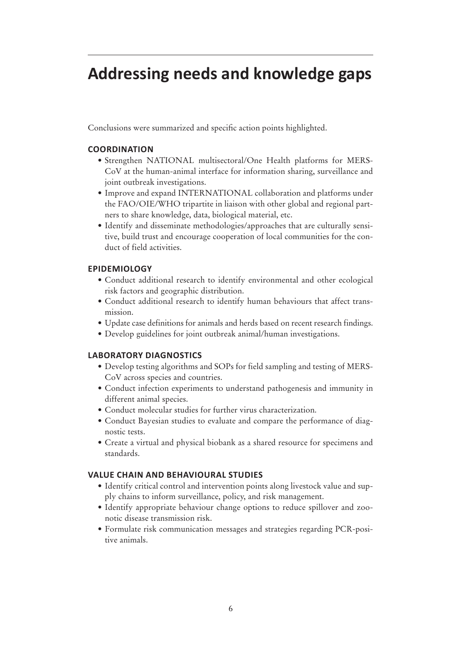# **Addressing needs and knowledge gaps**

Conclusions were summarized and specific action points highlighted.

## **COORDINATION**

- Strengthen NATIONAL multisectoral/One Health platforms for MERS-CoV at the human-animal interface for information sharing, surveillance and joint outbreak investigations.
- Improve and expand INTERNATIONAL collaboration and platforms under the FAO/OIE/WHO tripartite in liaison with other global and regional partners to share knowledge, data, biological material, etc.
- Identify and disseminate methodologies/approaches that are culturally sensitive, build trust and encourage cooperation of local communities for the conduct of field activities.

## **EPIDEMIOLOGY**

- Conduct additional research to identify environmental and other ecological risk factors and geographic distribution.
- Conduct additional research to identify human behaviours that affect transmission.
- • Update case definitions for animals and herds based on recent research findings.
- Develop guidelines for joint outbreak animal/human investigations.

## **LABORATORY DIAGNOSTICS**

- Develop testing algorithms and SOPs for field sampling and testing of MERS-CoV across species and countries.
- Conduct infection experiments to understand pathogenesis and immunity in different animal species.
- Conduct molecular studies for further virus characterization.
- Conduct Bayesian studies to evaluate and compare the performance of diagnostic tests.
- Create a virtual and physical biobank as a shared resource for specimens and standards.

#### **VALUE CHAIN AND BEHAVIOURAL STUDIES**

- Identify critical control and intervention points along livestock value and supply chains to inform surveillance, policy, and risk management.
- Identify appropriate behaviour change options to reduce spillover and zoonotic disease transmission risk.
- Formulate risk communication messages and strategies regarding PCR-positive animals.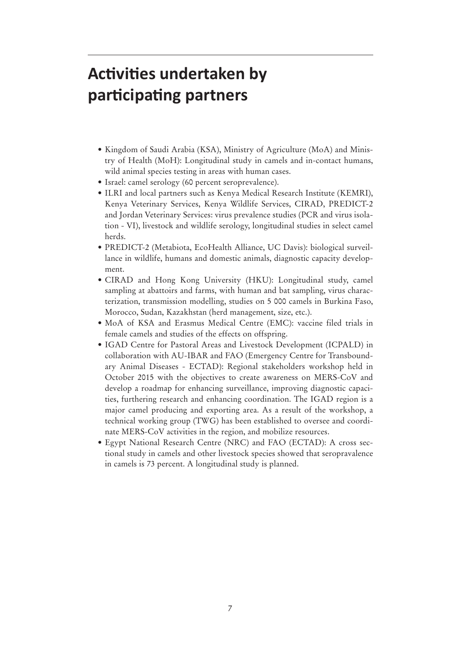# **Activities undertaken by participating partners**

- Kingdom of Saudi Arabia (KSA), Ministry of Agriculture (MoA) and Ministry of Health (MoH): Longitudinal study in camels and in-contact humans, wild animal species testing in areas with human cases.
- Israel: camel serology (60 percent seroprevalence).
- ILRI and local partners such as Kenya Medical Research Institute (KEMRI), Kenya Veterinary Services, Kenya Wildlife Services, CIRAD, PREDICT-2 and Jordan Veterinary Services: virus prevalence studies (PCR and virus isolation - VI), livestock and wildlife serology, longitudinal studies in select camel herds.
- PREDICT-2 (Metabiota, EcoHealth Alliance, UC Davis): biological surveillance in wildlife, humans and domestic animals, diagnostic capacity development.
- CIRAD and Hong Kong University (HKU): Longitudinal study, camel sampling at abattoirs and farms, with human and bat sampling, virus characterization, transmission modelling, studies on 5 000 camels in Burkina Faso, Morocco, Sudan, Kazakhstan (herd management, size, etc.).
- MoA of KSA and Erasmus Medical Centre (EMC): vaccine filed trials in female camels and studies of the effects on offspring.
- IGAD Centre for Pastoral Areas and Livestock Development (ICPALD) in collaboration with AU-IBAR and FAO (Emergency Centre for Transboundary Animal Diseases - ECTAD): Regional stakeholders workshop held in October 2015 with the objectives to create awareness on MERS-CoV and develop a roadmap for enhancing surveillance, improving diagnostic capacities, furthering research and enhancing coordination. The IGAD region is a major camel producing and exporting area. As a result of the workshop, a technical working group (TWG) has been established to oversee and coordinate MERS-CoV activities in the region, and mobilize resources.
- Egypt National Research Centre (NRC) and FAO (ECTAD): A cross sectional study in camels and other livestock species showed that seropravalence in camels is 73 percent. A longitudinal study is planned.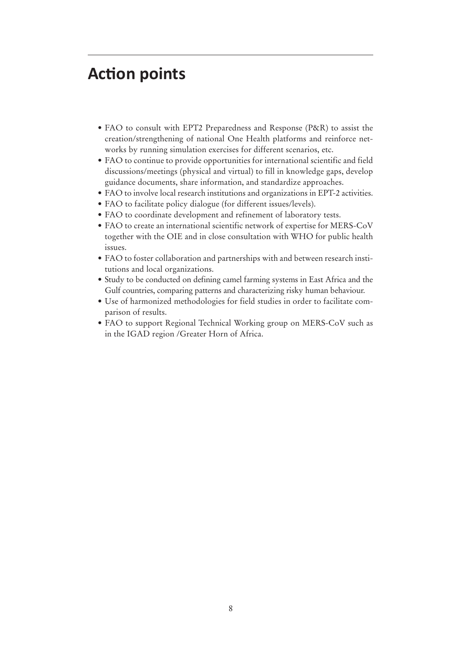# **Action points**

- FAO to consult with EPT2 Preparedness and Response (P&R) to assist the creation/strengthening of national One Health platforms and reinforce networks by running simulation exercises for different scenarios, etc.
- FAO to continue to provide opportunities for international scientific and field discussions/meetings (physical and virtual) to fill in knowledge gaps, develop guidance documents, share information, and standardize approaches.
- FAO to involve local research institutions and organizations in EPT-2 activities.
- FAO to facilitate policy dialogue (for different issues/levels).
- FAO to coordinate development and refinement of laboratory tests.
- FAO to create an international scientific network of expertise for MERS-CoV together with the OIE and in close consultation with WHO for public health issues.
- FAO to foster collaboration and partnerships with and between research institutions and local organizations.
- Study to be conducted on defining camel farming systems in East Africa and the Gulf countries, comparing patterns and characterizing risky human behaviour.
- Use of harmonized methodologies for field studies in order to facilitate comparison of results.
- FAO to support Regional Technical Working group on MERS-CoV such as in the IGAD region /Greater Horn of Africa.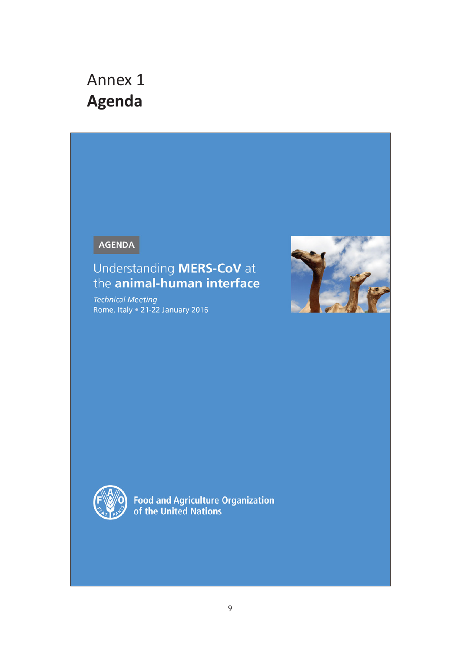# Annex 1 **Agenda**

AGENDA

# Understanding **MERS-CoV** at<br>the **animal-human interface**

**Technical Meeting** Rome, Italy . 21-22 January 2016





Food and Agriculture Organization<br>of the United Nations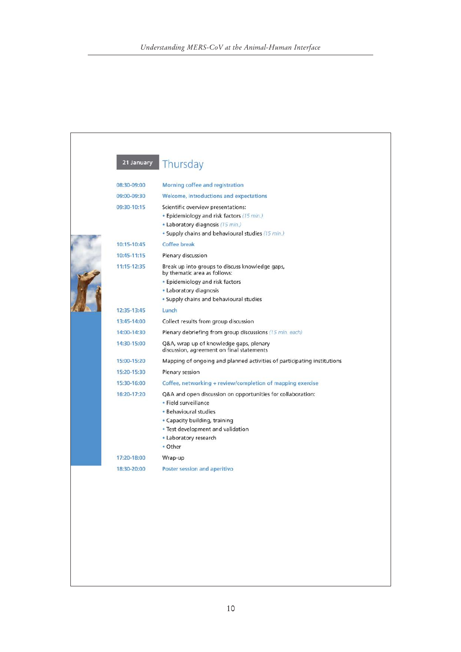| 21 January  | Thursday                                                                                                                                                                                                               |
|-------------|------------------------------------------------------------------------------------------------------------------------------------------------------------------------------------------------------------------------|
| 08:30-09:00 | Morning coffee and registration                                                                                                                                                                                        |
| 09:00-09:30 | Welcome, introductions and expectations                                                                                                                                                                                |
| 09:30-10:15 | Scientific overview presentations:<br>. Epidemiology and risk factors (15 min.)<br>• Laboratory diagnosis (15 min.)<br>• Supply chains and behavioural studies (15 min.)                                               |
| 10:15-10:45 | <b>Coffee break</b>                                                                                                                                                                                                    |
| 10:45-11:15 | Plenary discussion                                                                                                                                                                                                     |
| 11:15-12:35 | Break up into groups to discuss knowledge gaps,<br>by thematic area as follows:                                                                                                                                        |
|             | • Epidemiology and risk factors                                                                                                                                                                                        |
|             | • Laboratory diagnosis                                                                                                                                                                                                 |
|             | • Supply chains and behavioural studies                                                                                                                                                                                |
| 12:35-13:45 | Lunch                                                                                                                                                                                                                  |
| 13:45-14:00 | Collect results from group discussion                                                                                                                                                                                  |
| 14:00-14:30 | Plenary debriefing from group discussions (15 min. each)                                                                                                                                                               |
| 14:30-15:00 | Q&A, wrap up of knowledge gaps, plenary<br>discussion, agreement on final statements                                                                                                                                   |
| 15:00-15:20 | Mapping of ongoing and planned activities of participating institutions                                                                                                                                                |
| 15:20-15:30 | Plenary session                                                                                                                                                                                                        |
| 15:30-16:00 | Coffee, networking + review/completion of mapping exercise                                                                                                                                                             |
| 16:20-17:20 | Q&A and open discussion on opportunities for collaboration:<br>· Field surveillance<br>• Behavioural studies<br>• Capacity building, training<br>• Test development and validation<br>• Laboratory research<br>• Other |
| 17:20-18:00 | Wrap-up                                                                                                                                                                                                                |
| 18:30-20:00 | Poster session and aperitivo                                                                                                                                                                                           |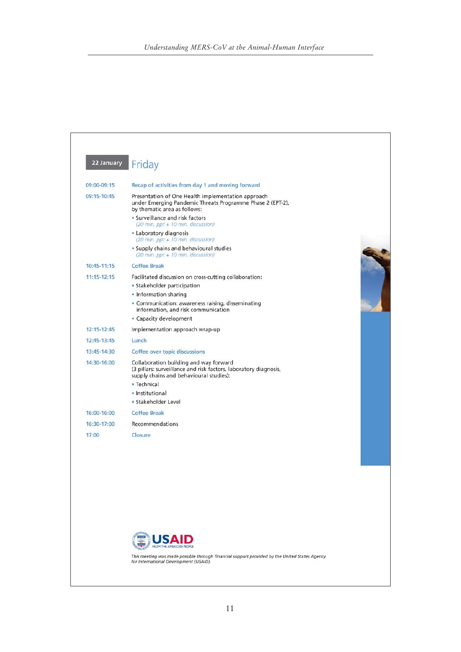|                 | 22 January<br>Friday                                                                                                                                  |  |
|-----------------|-------------------------------------------------------------------------------------------------------------------------------------------------------|--|
| 09:00-09:15     | Recap of activities from day 1 and moving forward                                                                                                     |  |
| 09:15-10:45     | Presentation of One Health implementation approach<br>under Emerging Pandemic Threats Programme Phase 2 (EPT-2),<br>by thematic area as follows:      |  |
|                 | • Surveillance and risk factors<br>(20 min. ppt + 10 min. discussion)                                                                                 |  |
|                 | • Laboratory diagnosis<br>(20 min. ppt + 10 min. discussion)                                                                                          |  |
|                 | • Supply chains and behavioural studies<br>$(20 \text{ min.} \text{ppt} + 10 \text{ min.}$ discussion)                                                |  |
| 10:45-11:15     | <b>Coffee Break</b>                                                                                                                                   |  |
| $11:15 - 12:15$ | Facilitated discussion on cross-cutting collaboration:                                                                                                |  |
|                 | • Stakeholder participation                                                                                                                           |  |
|                 | • Information sharing                                                                                                                                 |  |
|                 | • Communication: awareness raising, disseminating<br>information, and risk communication                                                              |  |
|                 | • Capacity development                                                                                                                                |  |
| 12:15-12:45     | Implementation approach wrap-up                                                                                                                       |  |
| 12:45-13:45     | Lunch                                                                                                                                                 |  |
| 13:45-14:30     | Coffee over topic discussions                                                                                                                         |  |
| 14:30-16:00     | Collaboration building and way forward<br>(3 pillars: surveillance and risk factors, laboratory diagnosis,<br>supply chains and behavioural studies): |  |
|                 | · Technical                                                                                                                                           |  |
|                 | · Institutional                                                                                                                                       |  |
|                 | · Stakeholder Level                                                                                                                                   |  |
| 16:00-16:00     | <b>Coffee Break</b>                                                                                                                                   |  |
| 16:30-17:00     | Recommendations                                                                                                                                       |  |
| 17:00           | Closure                                                                                                                                               |  |
|                 |                                                                                                                                                       |  |
|                 |                                                                                                                                                       |  |
|                 |                                                                                                                                                       |  |
|                 |                                                                                                                                                       |  |
|                 |                                                                                                                                                       |  |
|                 | <b>FROM THE AMERICAN PEOPLE</b>                                                                                                                       |  |
|                 |                                                                                                                                                       |  |
|                 | This meeting was made possible through financial support provided by the United States Agency<br>for International Development (USAID).               |  |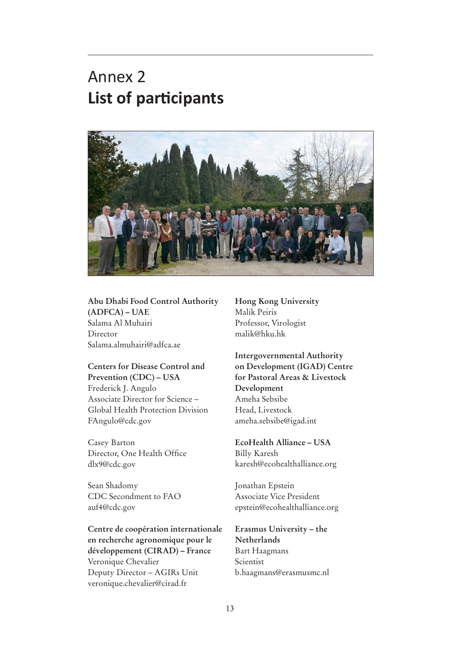# Annex 2 **List of participants**



## **Abu Dhabi Food Control Authority (ADFCA) – UAE**

Salama Al Muhairi Director Salama.almuhairi@adfca.ae

## **Centers for Disease Control and Prevention (CDC) – USA** Frederick J. Angulo Associate Director for Science – Global Health Protection Division FAngulo@cdc.gov

Casey Barton Director, One Health Office dlx9@cdc.gov

Sean Shadomy CDC Secondment to FAO auf4@cdc.gov

**Centre de coopération internationale en recherche agronomique pour le développement (CIRAD) – France**  Veronique Chevalier Deputy Director – AGIRs Unit veronique.chevalier@cirad.fr

**Hong Kong University** Malik Peiris Professor, Virologist malik@hku.hk

**Intergovernmental Authority on Development (IGAD) Centre for Pastoral Areas & Livestock Development**  Ameha Sebsibe Head, Livestock ameha.sebsibe@igad.int

**EcoHealth Alliance – USA**  Billy Karesh karesh@ecohealthalliance.org

Jonathan Epstein Associate Vice President epstein@ecohealthalliance.org

## **Erasmus University – the Netherlands**  Bart Haagmans Scientist b.haagmans@erasmusmc.nl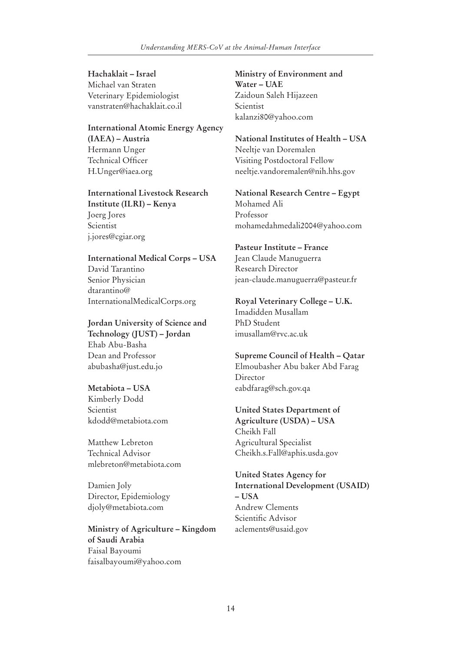**Hachaklait – Israel**  Michael van Straten Veterinary Epidemiologist vanstraten@hachaklait.co.il

**International Atomic Energy Agency (IAEA) – Austria**  Hermann Unger Technical Officer H.Unger@iaea.org

**International Livestock Research Institute (ILRI) – Kenya**  Joerg Jores Scientist j.jores@cgiar.org

**International Medical Corps – USA**  David Tarantino Senior Physician dtarantino@ InternationalMedicalCorps.org

**Jordan University of Science and Technology (JUST) – Jordan**  Ehab Abu-Basha Dean and Professor abubasha@just.edu.jo

#### **Metabiota – USA**

Kimberly Dodd Scientist kdodd@metabiota.com

Matthew Lebreton Technical Advisor mlebreton@metabiota.com

Damien Joly Director, Epidemiology djoly@metabiota.com

**Ministry of Agriculture – Kingdom of Saudi Arabia**  Faisal Bayoumi faisalbayoumi@yahoo.com

**Ministry of Environment and Water – UAE**  Zaidoun Saleh Hijazeen Scientist kalanzi80@yahoo.com

**National Institutes of Health – USA**  Neeltje van Doremalen Visiting Postdoctoral Fellow neeltje.vandoremalen@nih.hhs.gov

**National Research Centre – Egypt**  Mohamed Ali Professor mohamedahmedali2004@yahoo.com

## **Pasteur Institute – France**

Jean Claude Manuguerra Research Director jean-claude.manuguerra@pasteur.fr

### **Royal Veterinary College – U.K.**  Imadidden Musallam PhD Student imusallam@rvc.ac.uk

**Supreme Council of Health – Qatar**  Elmoubasher Abu baker Abd Farag **Director** eabdfarag@sch.gov.qa

**United States Department of Agriculture (USDA) – USA**  Cheikh Fall Agricultural Specialist Cheikh.s.Fall@aphis.usda.gov

**United States Agency for International Development (USAID) – USA**  Andrew Clements Scientific Advisor aclements@usaid.gov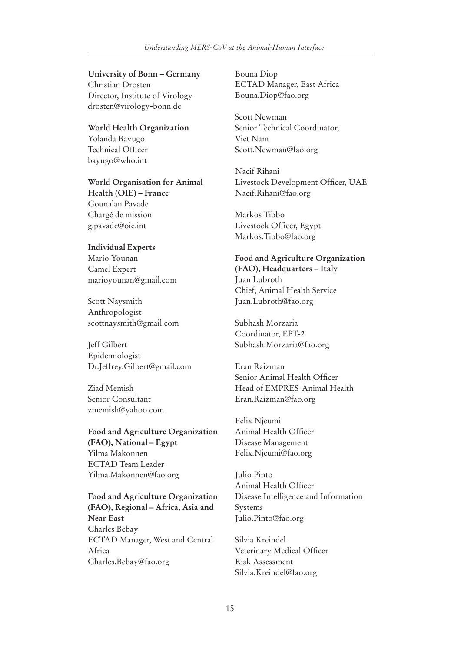#### *Understanding MERS-CoV at the Animal-Human Interface*

#### **University of Bonn – Germany**

Christian Drosten Director, Institute of Virology drosten@virology-bonn.de

**World Health Organization**  Yolanda Bayugo Technical Officer bayugo@who.int

**World Organisation for Animal Health (OIE) – France**  Gounalan Pavade Chargé de mission g.pavade@oie.int

## **Individual Experts**  Mario Younan Camel Expert marioyounan@gmail.com

Scott Naysmith Anthropologist scottnaysmith@gmail.com

Jeff Gilbert Epidemiologist Dr.Jeffrey.Gilbert@gmail.com

Ziad Memish Senior Consultant zmemish@yahoo.com

## **Food and Agriculture Organization (FAO), National – Egypt**  Yilma Makonnen ECTAD Team Leader Yilma.Makonnen@fao.org

**Food and Agriculture Organization (FAO), Regional – Africa, Asia and Near East**  Charles Bebay ECTAD Manager, West and Central Africa Charles.Bebay@fao.org

Bouna Diop ECTAD Manager, East Africa Bouna.Diop@fao.org

Scott Newman Senior Technical Coordinator, Viet Nam Scott.Newman@fao.org

Nacif Rihani Livestock Development Officer, UAE Nacif.Rihani@fao.org

Markos Tibbo Livestock Officer, Egypt Markos.Tibbo@fao.org

**Food and Agriculture Organization (FAO), Headquarters – Italy**  Juan Lubroth Chief, Animal Health Service Juan.Lubroth@fao.org

Subhash Morzaria Coordinator, EPT-2 Subhash.Morzaria@fao.org

Eran Raizman Senior Animal Health Officer Head of EMPRES-Animal Health Eran.Raizman@fao.org

Felix Njeumi Animal Health Officer Disease Management Felix.Njeumi@fao.org

Julio Pinto Animal Health Officer Disease Intelligence and Information Systems Julio.Pinto@fao.org

Silvia Kreindel Veterinary Medical Officer Risk Assessment Silvia.Kreindel@fao.org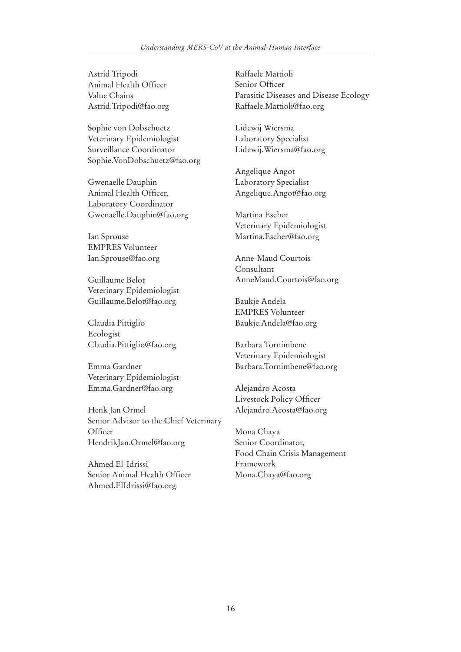Astrid Tripodi Animal Health Officer Value Chains Astrid.Tripodi@fao.org

Sophie von Dobschuetz Veterinary Epidemiologist Surveillance Coordinator Sophie.VonDobschuetz@fao.org

Gwenaelle Dauphin Animal Health Officer, Laboratory Coordinator Gwenaelle.Dauphin@fao.org

Ian Sprouse EMPRES Volunteer Ian.Sprouse@fao.org

Guillaume Belot Veterinary Epidemiologist Guillaume.Belot@fao.org

Claudia Pittiglio Ecologist Claudia.Pittiglio@fao.org

Emma Gardner Veterinary Epidemiologist Emma.Gardner@fao.org

Henk Jan Ormel Senior Advisor to the Chief Veterinary Officer HendrikJan.Ormel@fao.org

Ahmed El-Idrissi Senior Animal Health Officer Ahmed.ElIdrissi@fao.org

Raffaele Mattioli Senior Officer Parasitic Diseases and Disease Ecology Raffaele.Mattioli@fao.org

Lidewij Wiersma Laboratory Specialist Lidewij.Wiersma@fao.org

Angelique Angot Laboratory Specialist Angelique.Angot@fao.org

Martina Escher Veterinary Epidemiologist Martina.Escher@fao.org

Anne-Maud Courtois Consultant AnneMaud.Courtois@fao.org

Baukje Andela EMPRES Volunteer Baukje.Andela@fao.org

Barbara Tornimbene Veterinary Epidemiologist Barbara.Tornimbene@fao.org

Alejandro Acosta Livestock Policy Officer Alejandro.Acosta@fao.org

Mona Chaya Senior Coordinator, Food Chain Crisis Management Framework Mona.Chaya@fao.org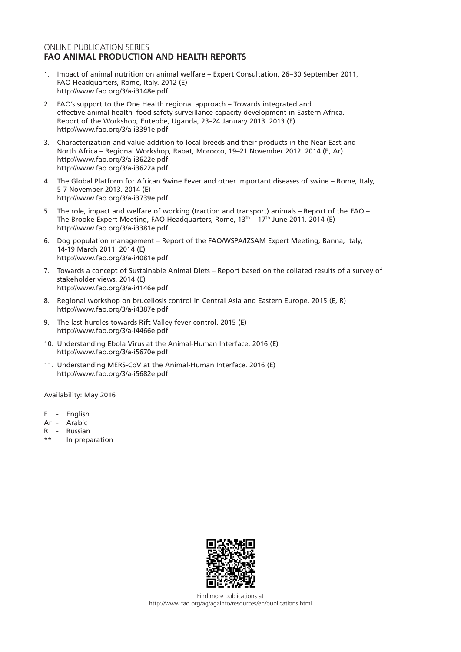### ONLINE PUBLICATION SERIES **FAO ANIMAL PRODUCTION AND HEALTH REPORTS**

- 1. Impact of animal nutrition on animal welfare Expert Consultation, 26−30 September 2011, FAO Headquarters, Rome, Italy. 2012 (E) http://www.fao.org/3/a-i3148e.pdf
- 2. FAO's support to the One Health regional approach Towards integrated and effective animal health–food safety surveillance capacity development in Eastern Africa. Report of the Workshop, Entebbe, Uganda, 23–24 January 2013. 2013 (E) http://www.fao.org/3/a-i3391e.pdf
- 3. Characterization and value addition to local breeds and their products in the Near East and North Africa – Regional Workshop, Rabat, Morocco, 19–21 November 2012. 2014 (E, Ar) http://www.fao.org/3/a-i3622e.pdf http://www.fao.org/3/a-i3622a.pdf
- 4. The Global Platform for African Swine Fever and other important diseases of swine Rome, Italy, 5-7 November 2013. 2014 (E) http://www.fao.org/3/a-i3739e.pdf
- 5. The role, impact and welfare of working (traction and transport) animals Report of the FAO The Brooke Expert Meeting, FAO Headquarters, Rome,  $13<sup>th</sup> - 17<sup>th</sup>$  June 2011. 2014 (E) http://www.fao.org/3/a-i3381e.pdf
- 6. Dog population management Report of the FAO/WSPA/IZSAM Expert Meeting, Banna, Italy, 14-19 March 2011. 2014 (E) http://www.fao.org/3/a-i4081e.pdf
- 7. Towards a concept of Sustainable Animal Diets Report based on the collated results of a survey of stakeholder views. 2014 (E) http://www.fao.org/3/a-i4146e.pdf
- 8. Regional workshop on brucellosis control in Central Asia and Eastern Europe. 2015 (E, R) http://www.fao.org/3/a-i4387e.pdf
- 9. The last hurdles towards Rift Valley fever control. 2015 (E) http://www.fao.org/3/a-i4466e.pdf
- 10. Understanding Ebola Virus at the Animal-Human Interface. 2016 (E) http://www.fao.org/3/a-i5670e.pdf
- 11. Understanding MERS-CoV at the Animal-Human Interface. 2016 (E) http://www.fao.org/3/a-i5682e.pdf

Availability: May 2016

- E English
- Ar Arabic
- R Russian
- \*\* In preparation



Find more publications at http://www.fao.org/ag/againfo/resources/en/publications.html